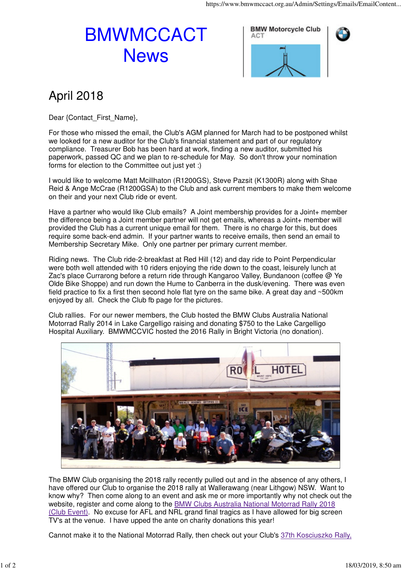## BMWMCCACT **News**





## April 2018

Dear {Contact\_First\_Name},

For those who missed the email, the Club's AGM planned for March had to be postponed whilst we looked for a new auditor for the Club's financial statement and part of our regulatory compliance. Treasurer Bob has been hard at work, finding a new auditor, submitted his paperwork, passed QC and we plan to re-schedule for May. So don't throw your nomination forms for election to the Committee out just yet :)

I would like to welcome Matt Mcillhaton (R1200GS), Steve Pazsit (K1300R) along with Shae Reid & Ange McCrae (R1200GSA) to the Club and ask current members to make them welcome on their and your next Club ride or event.

Have a partner who would like Club emails? A Joint membership provides for a Joint+ member the difference being a Joint member partner will not get emails, whereas a Joint+ member will provided the Club has a current unique email for them. There is no charge for this, but does require some back-end admin. If your partner wants to receive emails, then send an email to Membership Secretary Mike. Only one partner per primary current member.

Riding news. The Club ride-2-breakfast at Red Hill (12) and day ride to Point Perpendicular were both well attended with 10 riders enjoying the ride down to the coast, leisurely lunch at Zac's place Currarong before a return ride through Kangaroo Valley, Bundanoon (coffee @ Ye Olde Bike Shoppe) and run down the Hume to Canberra in the dusk/evening. There was even field practice to fix a first then second hole flat tyre on the same bike. A great day and ~500km enjoyed by all. Check the Club fb page for the pictures.

Club rallies. For our newer members, the Club hosted the BMW Clubs Australia National Motorrad Rally 2014 in Lake Cargelligo raising and donating \$750 to the Lake Cargelligo Hospital Auxiliary. BMWMCCVIC hosted the 2016 Rally in Bright Victoria (no donation).



The BMW Club organising the 2018 rally recently pulled out and in the absence of any others, I have offered our Club to organise the 2018 rally at Wallerawang (near Lithgow) NSW. Want to know why? Then come along to an event and ask me or more importantly why not check out the website, register and come along to the BMW Clubs Australia National Motorrad Rally 2018 (Club Event). No excuse for AFL and NRL grand final tragics as I have allowed for big screen TV's at the venue. I have upped the ante on charity donations this year!

Cannot make it to the National Motorrad Rally, then check out your Club's 37th Kosciuszko Rally,